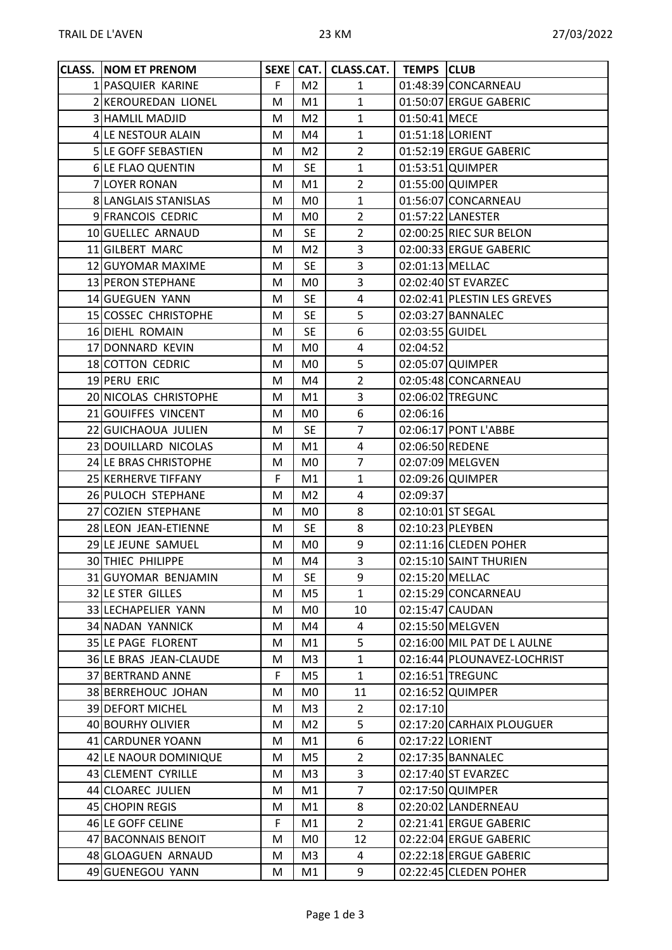| <b>CLASS. NOM ET PRENOM</b> |    |                | SEXE   CAT.   CLASS.CAT.   TEMPS   CLUB |                  |                             |
|-----------------------------|----|----------------|-----------------------------------------|------------------|-----------------------------|
| 1 PASQUIER KARINE           | F. | M <sub>2</sub> | $\mathbf{1}$                            |                  | 01:48:39 CONCARNEAU         |
| 2 KEROUREDAN LIONEL         | M  | M1             | $\mathbf{1}$                            |                  | 01:50:07 ERGUE GABERIC      |
| 3 HAMLIL MADJID             | M  | M2             | $\mathbf{1}$                            | 01:50:41 MECE    |                             |
| 4 LE NESTOUR ALAIN          | M  | M4             | $\mathbf{1}$                            | 01:51:18 LORIENT |                             |
| 5 LE GOFF SEBASTIEN         | M  | M <sub>2</sub> | $\overline{2}$                          |                  | 01:52:19 ERGUE GABERIC      |
| 6 LE FLAO QUENTIN           | M  | <b>SE</b>      | $\mathbf{1}$                            |                  | 01:53:51 QUIMPER            |
| 7 LOYER RONAN               | M  | M1             | $\overline{2}$                          |                  | 01:55:00 QUIMPER            |
| 8 LANGLAIS STANISLAS        | M  | M <sub>0</sub> | $\mathbf{1}$                            |                  | 01:56:07 CONCARNEAU         |
| 9 FRANCOIS CEDRIC           | M  | M0             | $\overline{2}$                          |                  | 01:57:22 LANESTER           |
| 10 GUELLEC ARNAUD           | M  | <b>SE</b>      | $\overline{2}$                          |                  | 02:00:25 RIEC SUR BELON     |
| 11 GILBERT MARC             | M  | M2             | 3                                       |                  | 02:00:33 ERGUE GABERIC      |
| 12 GUYOMAR MAXIME           | M  | <b>SE</b>      | 3                                       | 02:01:13 MELLAC  |                             |
| 13 PERON STEPHANE           | M  | M <sub>0</sub> | $\overline{3}$                          |                  | 02:02:40 ST EVARZEC         |
| 14 GUEGUEN YANN             | M  | SE             | $\overline{4}$                          |                  | 02:02:41 PLESTIN LES GREVES |
| 15 COSSEC CHRISTOPHE        | M  | SE             | 5                                       |                  | 02:03:27 BANNALEC           |
| 16 DIEHL ROMAIN             | M  | <b>SE</b>      | 6                                       | 02:03:55 GUIDEL  |                             |
| 17 DONNARD KEVIN            | M  | M0             | 4                                       | 02:04:52         |                             |
| 18 COTTON CEDRIC            | M  | M0             | 5                                       |                  | 02:05:07 QUIMPER            |
| 19 PERU ERIC                | M  | M4             | $\overline{2}$                          |                  | 02:05:48 CONCARNEAU         |
| 20 NICOLAS CHRISTOPHE       | M  | M1             | 3                                       |                  | 02:06:02 TREGUNC            |
| 21 GOUIFFES VINCENT         | M  | M0             | 6                                       | 02:06:16         |                             |
| 22 GUICHAOUA JULIEN         | M  | <b>SE</b>      | $\overline{7}$                          |                  | 02:06:17 PONT L'ABBE        |
| 23 DOUILLARD NICOLAS        | M  | M1             | $\overline{4}$                          | 02:06:50 REDENE  |                             |
| 24 LE BRAS CHRISTOPHE       | M  | M0             | 7                                       |                  | 02:07:09 MELGVEN            |
| 25 KERHERVE TIFFANY         | F  | M1             | $\mathbf{1}$                            |                  | 02:09:26 QUIMPER            |
| 26 PULOCH STEPHANE          | M  | M <sub>2</sub> | 4                                       | 02:09:37         |                             |
| 27 COZIEN STEPHANE          | M  | M0             | 8                                       |                  | 02:10:01 ST SEGAL           |
| 28 LEON JEAN-ETIENNE        | M  | <b>SE</b>      | 8                                       |                  | 02:10:23 PLEYBEN            |
| 29 LE JEUNE SAMUEL          | M  | M0             | 9                                       |                  | 02:11:16 CLEDEN POHER       |
| 30 THIEC PHILIPPE           | M  | M4             | 3                                       |                  | 02:15:10 SAINT THURIEN      |
| 31 GUYOMAR BENJAMIN         | M  | <b>SE</b>      | 9                                       | 02:15:20 MELLAC  |                             |
| 32 LE STER GILLES           | M  | M5             | $\mathbf{1}$                            |                  | 02:15:29 CONCARNEAU         |
| 33 LECHAPELIER YANN         | M  | M0             | 10                                      |                  | 02:15:47 CAUDAN             |
| 34 NADAN YANNICK            | M  | M4             | 4                                       |                  | 02:15:50 MELGVEN            |
| 35 LE PAGE FLORENT          | M  | M1             | 5                                       |                  | 02:16:00 MIL PAT DE L AULNE |
| 36 LE BRAS JEAN-CLAUDE      | M  | M3             | $\mathbf{1}$                            |                  | 02:16:44 PLOUNAVEZ-LOCHRIST |
| 37 BERTRAND ANNE            | F  | M5             | $\mathbf{1}$                            |                  | 02:16:51 TREGUNC            |
| 38 BERREHOUC JOHAN          | M  | M0             | 11                                      |                  | 02:16:52 QUIMPER            |
| 39 DEFORT MICHEL            | M  | M <sub>3</sub> | $\overline{2}$                          | 02:17:10         |                             |
| 40 BOURHY OLIVIER           | M  | M <sub>2</sub> | 5                                       |                  | 02:17:20 CARHAIX PLOUGUER   |
| 41 CARDUNER YOANN           | M  | M1             | 6                                       | 02:17:22 LORIENT |                             |
| 42 LE NAOUR DOMINIQUE       | M  | M5             | $\overline{2}$                          |                  | 02:17:35 BANNALEC           |
| 43 CLEMENT CYRILLE          | M  | M3             | 3                                       |                  | 02:17:40 ST EVARZEC         |
| 44 CLOAREC JULIEN           | M  | M1             | $\overline{7}$                          |                  | 02:17:50 QUIMPER            |
| 45 CHOPIN REGIS             | M  | M1             | 8                                       |                  | 02:20:02 LANDERNEAU         |
| 46 LE GOFF CELINE           | F. | M1             | $\overline{2}$                          |                  | 02:21:41 ERGUE GABERIC      |
| 47 BACONNAIS BENOIT         | M  | M0             | 12                                      |                  | 02:22:04 ERGUE GABERIC      |
| 48 GLOAGUEN ARNAUD          | M  | M3             | 4                                       |                  | 02:22:18 ERGUE GABERIC      |
| 49 GUENEGOU YANN            | M  | M1             | 9                                       |                  | 02:22:45 CLEDEN POHER       |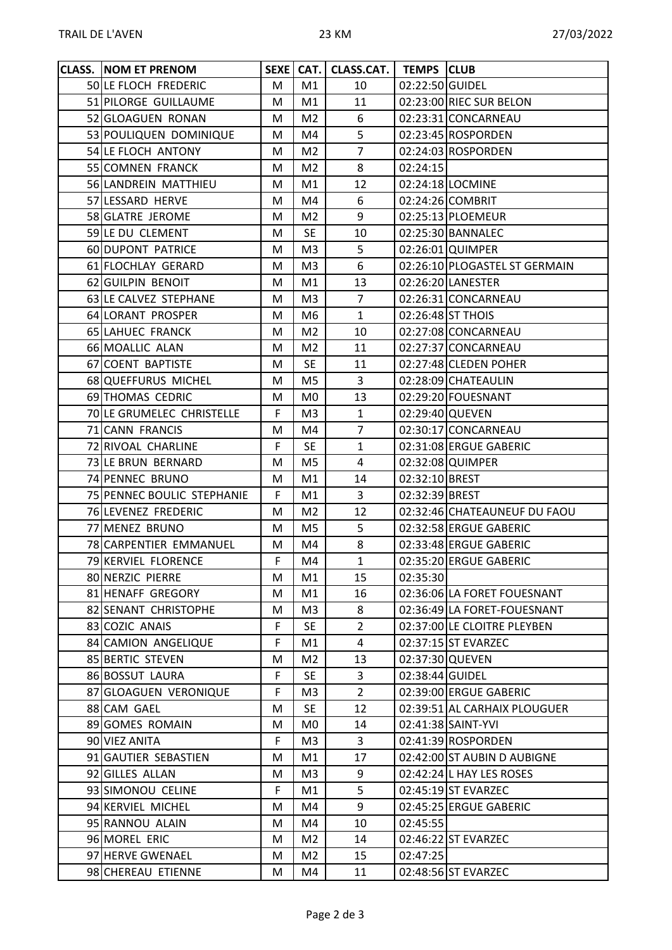| <b>CLASS. NOM ET PRENOM</b> |    |                | SEXE   CAT.   CLASS.CAT.   TEMPS   CLUB |                 |                               |
|-----------------------------|----|----------------|-----------------------------------------|-----------------|-------------------------------|
| 50 LE FLOCH FREDERIC        | М  | M1             | 10                                      | 02:22:50 GUIDEL |                               |
| 51 PILORGE GUILLAUME        | M  | M1             | 11                                      |                 | 02:23:00 RIEC SUR BELON       |
| 52 GLOAGUEN RONAN           | M  | M <sub>2</sub> | 6                                       |                 | 02:23:31 CONCARNEAU           |
| 53 POULIQUEN DOMINIQUE      | M  | M4             | 5                                       |                 | 02:23:45 ROSPORDEN            |
| 54 LE FLOCH ANTONY          | M  | M <sub>2</sub> | $\overline{7}$                          |                 | 02:24:03 ROSPORDEN            |
| 55 COMNEN FRANCK            | M  | M <sub>2</sub> | 8                                       | 02:24:15        |                               |
| 56 LANDREIN MATTHIEU        | м  | M1             | 12                                      |                 | 02:24:18 LOCMINE              |
| 57 LESSARD HERVE            | M  | M4             | 6                                       |                 | 02:24:26 COMBRIT              |
| 58 GLATRE JEROME            | M  | M <sub>2</sub> | 9                                       |                 | 02:25:13 PLOEMEUR             |
| 59 LE DU CLEMENT            | M  | <b>SE</b>      | 10                                      |                 | 02:25:30 BANNALEC             |
| 60 DUPONT PATRICE           | M  | M3             | 5                                       |                 | 02:26:01 QUIMPER              |
| 61 FLOCHLAY GERARD          | M  | M3             | 6                                       |                 | 02:26:10 PLOGASTEL ST GERMAIN |
| 62 GUILPIN BENOIT           | M  | M1             | 13                                      |                 | 02:26:20 LANESTER             |
| 63 LE CALVEZ STEPHANE       | M  | M3             | $\overline{7}$                          |                 | 02:26:31 CONCARNEAU           |
| 64 LORANT PROSPER           | M  | M6             | $\mathbf{1}$                            |                 | 02:26:48 ST THOIS             |
| 65 LAHUEC FRANCK            | M  | M <sub>2</sub> | 10                                      |                 | 02:27:08 CONCARNEAU           |
| 66 MOALLIC ALAN             | M  | M <sub>2</sub> | 11                                      |                 | 02:27:37 CONCARNEAU           |
| 67 COENT BAPTISTE           | M  | <b>SE</b>      | 11                                      |                 | 02:27:48 CLEDEN POHER         |
| 68 QUEFFURUS MICHEL         | M  | M5             | 3                                       |                 | 02:28:09 CHATEAULIN           |
| 69 THOMAS CEDRIC            | M  | M0             | 13                                      |                 | 02:29:20 FOUESNANT            |
| 70 LE GRUMELEC CHRISTELLE   | F  | M3             | $\mathbf{1}$                            | 02:29:40 QUEVEN |                               |
| 71 CANN FRANCIS             | M  | M4             | $\overline{7}$                          |                 | 02:30:17 CONCARNEAU           |
| 72 RIVOAL CHARLINE          | F. | <b>SE</b>      | $\mathbf{1}$                            |                 | 02:31:08 ERGUE GABERIC        |
| 73 LE BRUN BERNARD          | M  | M5             | 4                                       |                 | 02:32:08 QUIMPER              |
| 74 PENNEC BRUNO             | M  | M1             | 14                                      | 02:32:10 BREST  |                               |
| 75 PENNEC BOULIC STEPHANIE  | F. | M1             | 3                                       | 02:32:39 BREST  |                               |
| 76 LEVENEZ FREDERIC         | M  | M <sub>2</sub> | 12                                      |                 | 02:32:46 CHATEAUNEUF DU FAOU  |
| 77 MENEZ BRUNO              | M  | M5             | 5                                       |                 | 02:32:58 ERGUE GABERIC        |
| 78 CARPENTIER EMMANUEL      | M  | M4             | 8                                       |                 | 02:33:48 ERGUE GABERIC        |
| 79 KERVIEL FLORENCE         | F  | M4             | $\mathbf{1}$                            |                 | 02:35:20 ERGUE GABERIC        |
| 80 NERZIC PIERRE            | M  | M1             | 15                                      | 02:35:30        |                               |
| 81 HENAFF GREGORY           | M  | M1             | 16                                      |                 | 02:36:06 LA FORET FOUESNANT   |
| 82 SENANT CHRISTOPHE        | M  | M3             | 8                                       |                 | 02:36:49 LA FORET-FOUESNANT   |
| 83 COZIC ANAIS              | F  | <b>SE</b>      | $\overline{2}$                          |                 | 02:37:00 LE CLOITRE PLEYBEN   |
| 84 CAMION ANGELIQUE         | F  | M1             | $\overline{4}$                          |                 | 02:37:15 ST EVARZEC           |
| 85 BERTIC STEVEN            | M  | M2             | 13                                      | 02:37:30 QUEVEN |                               |
| 86 BOSSUT LAURA             | F  | <b>SE</b>      | 3                                       | 02:38:44 GUIDEL |                               |
| 87 GLOAGUEN VERONIQUE       | F  | M3             | $\overline{2}$                          |                 | 02:39:00 ERGUE GABERIC        |
| 88 CAM GAEL                 | M  | <b>SE</b>      | 12                                      |                 | 02:39:51 AL CARHAIX PLOUGUER  |
| 89 GOMES ROMAIN             | M  | M0             | 14                                      |                 | 02:41:38 SAINT-YVI            |
| 90 VIEZ ANITA               | F. | M <sub>3</sub> | 3                                       |                 | 02:41:39 ROSPORDEN            |
| 91 GAUTIER SEBASTIEN        | M  | M1             | 17                                      |                 | 02:42:00 ST AUBIN D AUBIGNE   |
| 92 GILLES ALLAN             | M  | M3             | 9                                       |                 | 02:42:24 L HAY LES ROSES      |
| 93 SIMONOU CELINE           | F  | M1             | 5                                       |                 | 02:45:19 ST EVARZEC           |
| 94 KERVIEL MICHEL           | M  | M4             | 9                                       |                 | 02:45:25 ERGUE GABERIC        |
| 95 RANNOU ALAIN             | M  | M4             | 10                                      | 02:45:55        |                               |
| 96 MOREL ERIC               | M  | M <sub>2</sub> | 14                                      |                 | 02:46:22 ST EVARZEC           |
| 97 HERVE GWENAEL            | M  | M <sub>2</sub> | 15                                      | 02:47:25        |                               |
| 98 CHEREAU ETIENNE          | M  | M4             | 11                                      |                 | 02:48:56 ST EVARZEC           |